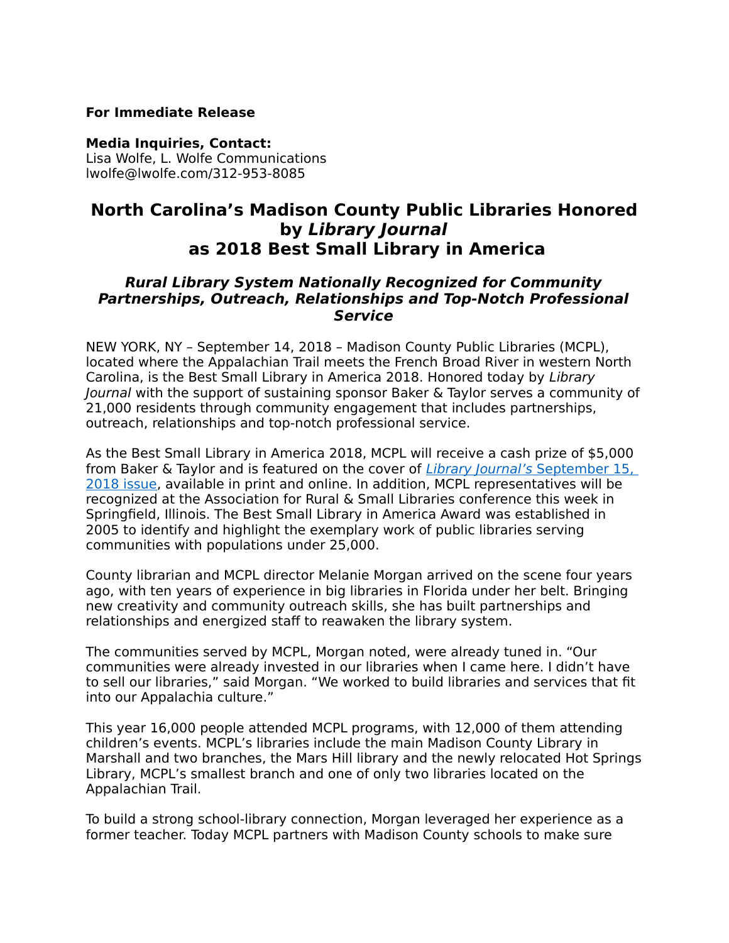#### **For Immediate Release**

#### **Media Inquiries, Contact:**

Lisa Wolfe, L. Wolfe Communications lwolfe@lwolfe.com/312-953-8085

# **North Carolina's Madison County Public Libraries Honored by Library Journal as 2018 Best Small Library in America**

## **Rural Library System Nationally Recognized for Community Partnerships, Outreach, Relationships and Top-Notch Professional Service**

NEW YORK, NY – September 14, 2018 – Madison County Public Libraries (MCPL), located where the Appalachian Trail meets the French Broad River in western North Carolina, is the Best Small Library in America 2018. Honored today by Library Journal with the support of sustaining sponsor Baker & Taylor serves a community of 21,000 residents through community engagement that includes partnerships, outreach, relationships and top-notch professional service.

As the Best Small Library in America 2018, MCPL will receive a cash prize of \$5,000 from Baker & Taylor and is featured on the cover of [Library Journal's](https://libraryjournal.com/?detailStory=ljx180902BestSmall) September 15, [2018 issue,](https://libraryjournal.com/?detailStory=ljx180902BestSmall) available in print and online. In addition, MCPL representatives will be recognized at the Association for Rural & Small Libraries conference this week in Springfield, Illinois. The Best Small Library in America Award was established in 2005 to identify and highlight the exemplary work of public libraries serving communities with populations under 25,000.

County librarian and MCPL director Melanie Morgan arrived on the scene four years ago, with ten years of experience in big libraries in Florida under her belt. Bringing new creativity and community outreach skills, she has built partnerships and relationships and energized staff to reawaken the library system.

The communities served by MCPL, Morgan noted, were already tuned in. "Our communities were already invested in our libraries when I came here. I didn't have to sell our libraries," said Morgan. "We worked to build libraries and services that fit into our Appalachia culture."

This year 16,000 people attended MCPL programs, with 12,000 of them attending children's events. MCPL's libraries include the main Madison County Library in Marshall and two branches, the Mars Hill library and the newly relocated Hot Springs Library, MCPL's smallest branch and one of only two libraries located on the Appalachian Trail.

To build a strong school-library connection, Morgan leveraged her experience as a former teacher. Today MCPL partners with Madison County schools to make sure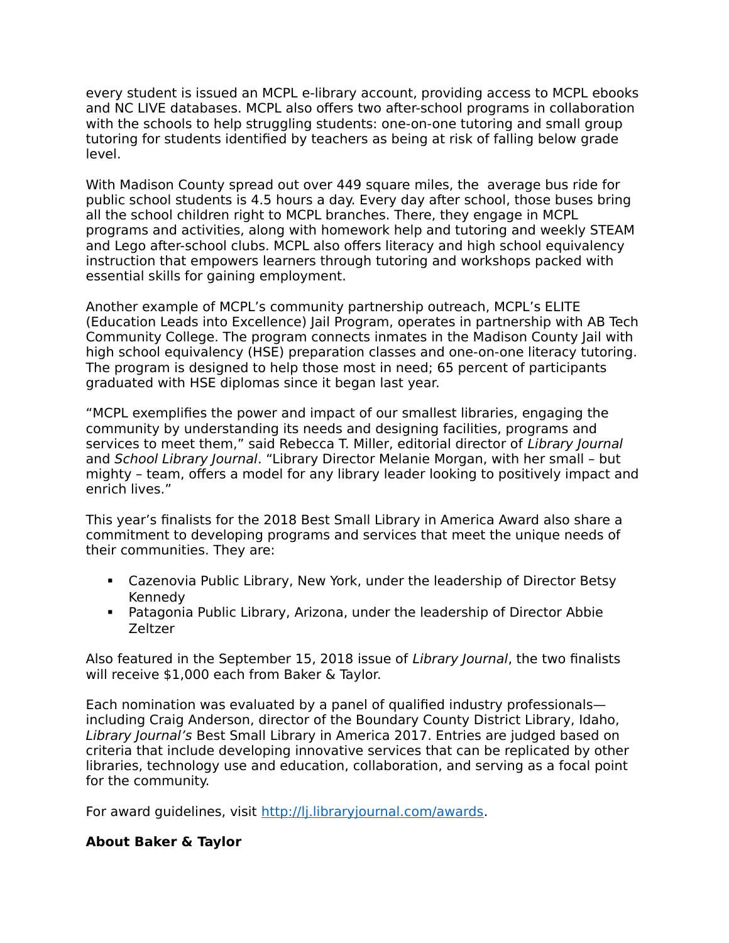every student is issued an MCPL e-library account, providing access to MCPL ebooks and NC LIVE databases. MCPL also offers two after-school programs in collaboration with the schools to help struggling students: one-on-one tutoring and small group tutoring for students identified by teachers as being at risk of falling below grade level.

With Madison County spread out over 449 square miles, the average bus ride for public school students is 4.5 hours a day. Every day after school, those buses bring all the school children right to MCPL branches. There, they engage in MCPL programs and activities, along with homework help and tutoring and weekly STEAM and Lego after-school clubs. MCPL also offers literacy and high school equivalency instruction that empowers learners through tutoring and workshops packed with essential skills for gaining employment.

Another example of MCPL's community partnership outreach, MCPL's ELITE (Education Leads into Excellence) Jail Program, operates in partnership with AB Tech Community College. The program connects inmates in the Madison County Jail with high school equivalency (HSE) preparation classes and one-on-one literacy tutoring. The program is designed to help those most in need; 65 percent of participants graduated with HSE diplomas since it began last year.

"MCPL exemplifies the power and impact of our smallest libraries, engaging the community by understanding its needs and designing facilities, programs and services to meet them," said Rebecca T. Miller, editorial director of Library Journal and School Library Journal. "Library Director Melanie Morgan, with her small – but mighty – team, offers a model for any library leader looking to positively impact and enrich lives."

This year's finalists for the 2018 Best Small Library in America Award also share a commitment to developing programs and services that meet the unique needs of their communities. They are:

- Cazenovia Public Library, New York, under the leadership of Director Betsy Kennedy
- Patagonia Public Library, Arizona, under the leadership of Director Abbie Zeltzer

Also featured in the September 15, 2018 issue of Library Journal, the two finalists will receive \$1,000 each from Baker & Taylor.

Each nomination was evaluated by a panel of qualified industry professionals including Craig Anderson, director of the Boundary County District Library, Idaho, Library Journal's Best Small Library in America 2017. Entries are judged based on criteria that include developing innovative services that can be replicated by other libraries, technology use and education, collaboration, and serving as a focal point for the community.

For award guidelines, visit [http://lj.libraryjournal.com/awards.](http://lj.libraryjournal.com/awards)

## **About Baker & Taylor**